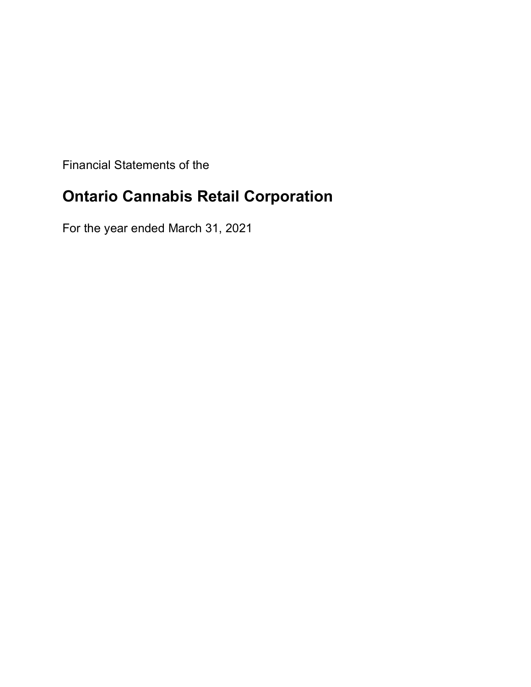Financial Statements of the

# Ontario Cannabis Retail Corporation Financial Statements of the<br>**Ontario Cannabis Retail Corporation**<br>For the year ended March 31, 2021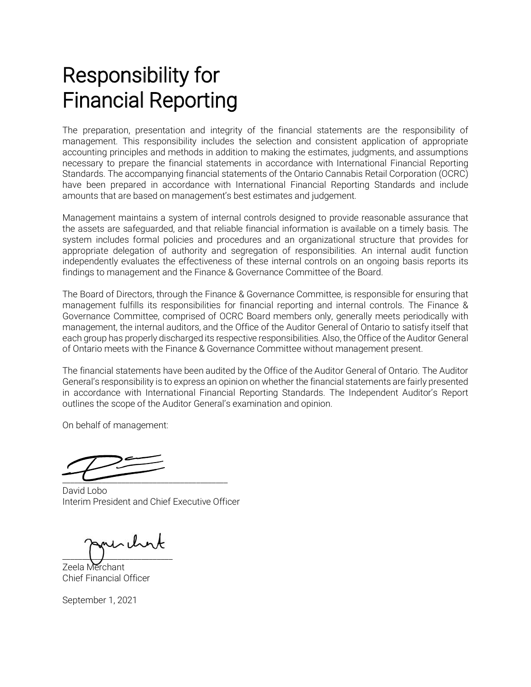# Responsibility for Financial Reporting

The preparation, presentation and integrity of the financial statements are the responsibility of management. This responsibility includes the selection and consistent application of appropriate accounting principles and methods in addition to making the estimates, judgments, and assumptions necessary to prepare the financial statements in accordance with International Financial Reporting Standards. The accompanying financial statements of the Ontario Cannabis Retail Corporation (OCRC) have been prepared in accordance with International Financial Reporting Standards and include amounts that are based on management's best estimates and judgement.

Management maintains a system of internal controls designed to provide reasonable assurance that the assets are safeguarded, and that reliable financial information is available on a timely basis. The system includes formal policies and procedures and an organizational structure that provides for appropriate delegation of authority and segregation of responsibilities. An internal audit function independently evaluates the effectiveness of these internal controls on an ongoing basis reports its findings to management and the Finance & Governance Committee of the Board.

The Board of Directors, through the Finance & Governance Committee, is responsible for ensuring that management fulfills its responsibilities for financial reporting and internal controls. The Finance & Governance Committee, comprised of OCRC Board members only, generally meets periodically with management, the internal auditors, and the Office of the Auditor General of Ontario to satisfy itself that each group has properly discharged its respective responsibilities. Also, the Office of the Auditor General of Ontario meets with the Finance & Governance Committee without management present.

The financial statements have been audited by the Office of the Auditor General of Ontario. The Auditor General's responsibility is to express an opinion on whether the financial statements are fairly presented in accordance with International Financial Reporting Standards. The Independent Auditor's Report outlines the scope of the Auditor General's examination and opinion.

On behalf of management:<br>
<br>
David Lobo

Interim President and Chief Executive Officer<br>Teela Merchant

Chief Financial Officer

September 1, 2021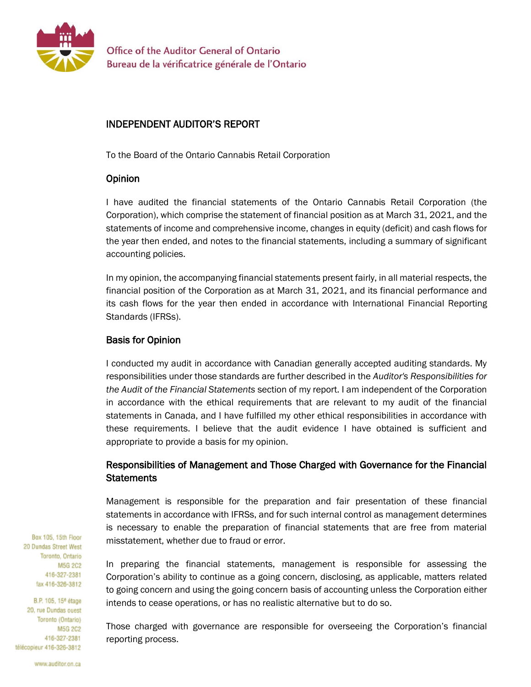

Office of the Auditor General of Ontario Bureau de la vérificatrice générale de l'Ontario

## INDEPENDENT AUDITOR'S REPORT

To the Board of the Ontario Cannabis Retail Corporation

### Opinion

I have audited the financial statements of the Ontario Cannabis Retail Corporation (the Corporation), which comprise the statement of financial position as at March 31, 2021, and the statements of income and comprehensive income, changes in equity (deficit) and cash flows for the year then ended, and notes to the financial statements, including a summary of significant accounting policies.

In my opinion, the accompanying financial statements present fairly, in all material respects, the financial position of the Corporation as at March 31, 2021, and its financial performance and its cash flows for the year then ended in accordance with International Financial Reporting Standards (IFRSs).

## Basis for Opinion

I conducted my audit in accordance with Canadian generally accepted auditing standards. My responsibilities under those standards are further described in the *Auditor's Responsibilities for the Audit of the Financial Statements* section of my report. I am independent of the Corporation in accordance with the ethical requirements that are relevant to my audit of the financial statements in Canada, and I have fulfilled my other ethical responsibilities in accordance with these requirements. I believe that the audit evidence I have obtained is sufficient and appropriate to provide a basis for my opinion.

## Responsibilities of Management and Those Charged with Governance for the Financial **Statements**

Management is responsible for the preparation and fair presentation of these financial statements in accordance with IFRSs, and for such internal control as management determines is necessary to enable the preparation of financial statements that are free from material misstatement, whether due to fraud or error.

In preparing the financial statements, management is responsible for assessing the Corporation's ability to continue as a going concern, disclosing, as applicable, matters related to going concern and using the going concern basis of accounting unless the Corporation either intends to cease operations, or has no realistic alternative but to do so.

Those charged with governance are responsible for overseeing the Corporation's financial reporting process.

Box 105, 15th Floor 20 Dundas Street West Toronto, Ontario M5G 2C2 416-327-2381 fax 416-326-3812

B.P. 105, 15<sup>e</sup> étage 20, rue Dundas ouest Toronto (Ontario) M5G 2C2 416-327-2381 télécopieur 416-326-3812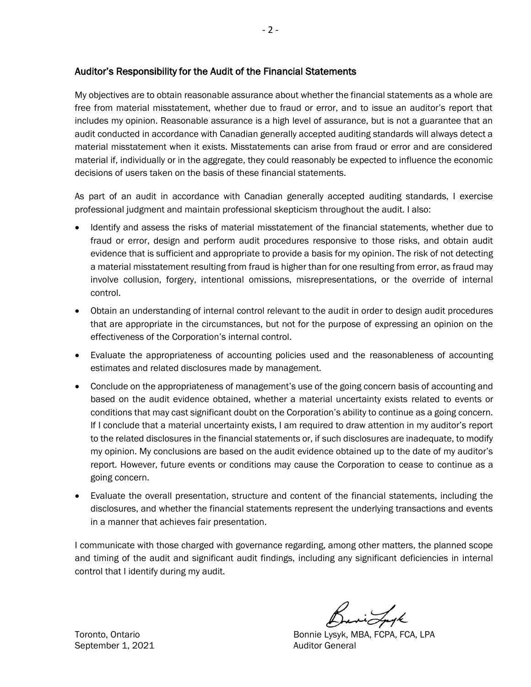## Auditor's Responsibility for the Audit of the Financial Statements

My objectives are to obtain reasonable assurance about whether the financial statements as a whole are free from material misstatement, whether due to fraud or error, and to issue an auditor's report that includes my opinion. Reasonable assurance is a high level of assurance, but is not a guarantee that an audit conducted in accordance with Canadian generally accepted auditing standards will always detect a material misstatement when it exists. Misstatements can arise from fraud or error and are considered material if, individually or in the aggregate, they could reasonably be expected to influence the economic decisions of users taken on the basis of these financial statements.

As part of an audit in accordance with Canadian generally accepted auditing standards, I exercise professional judgment and maintain professional skepticism throughout the audit. I also:

- Identify and assess the risks of material misstatement of the financial statements, whether due to fraud or error, design and perform audit procedures responsive to those risks, and obtain audit evidence that is sufficient and appropriate to provide a basis for my opinion. The risk of not detecting a material misstatement resulting from fraud is higher than for one resulting from error, as fraud may involve collusion, forgery, intentional omissions, misrepresentations, or the override of internal control.
- Obtain an understanding of internal control relevant to the audit in order to design audit procedures that are appropriate in the circumstances, but not for the purpose of expressing an opinion on the effectiveness of the Corporation's internal control.
- Evaluate the appropriateness of accounting policies used and the reasonableness of accounting estimates and related disclosures made by management.
- Conclude on the appropriateness of management's use of the going concern basis of accounting and based on the audit evidence obtained, whether a material uncertainty exists related to events or conditions that may cast significant doubt on the Corporation's ability to continue as a going concern. If I conclude that a material uncertainty exists, I am required to draw attention in my auditor's report to the related disclosures in the financial statements or, if such disclosures are inadequate, to modify my opinion. My conclusions are based on the audit evidence obtained up to the date of my auditor's report. However, future events or conditions may cause the Corporation to cease to continue as a going concern.
- Evaluate the overall presentation, structure and content of the financial statements, including the disclosures, and whether the financial statements represent the underlying transactions and events in a manner that achieves fair presentation.

I communicate with those charged with governance regarding, among other matters, the planned scope and timing of the audit and significant audit findings, including any significant deficiencies in internal control that I identify during my audit.

windock

Toronto, Ontario Bonnie Lysyk, MBA, FCPA, FCA, LPA

September 1, 2021 Auditor General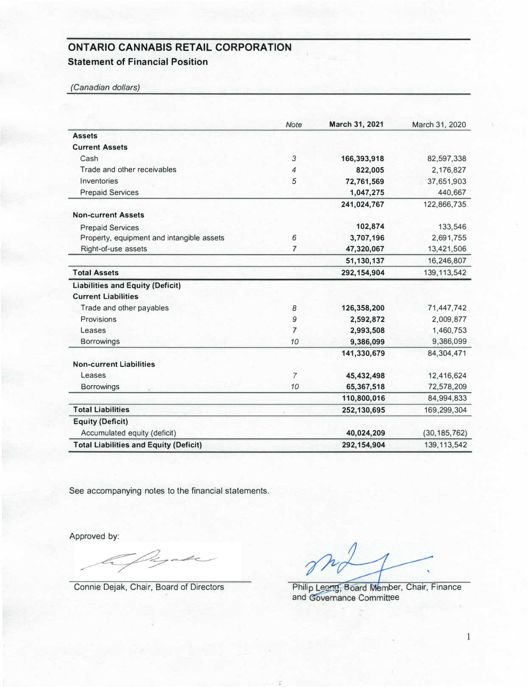# **ONTARIO CANNABIS RETAIL CORPORATION Statement of Financial Position**

### *(Canadian dollars)*

|                                               | <b>Note</b>    | March 31, 2021 | March 31, 2020 |
|-----------------------------------------------|----------------|----------------|----------------|
| <b>Assets</b>                                 |                |                |                |
| <b>Current Assets</b>                         |                |                |                |
| Cash                                          | 3              | 166,393,918    | 82,597,338     |
| Trade and other receivables                   | 4              | 822,005        | 2,176,827      |
| Inventories                                   | 5              | 72,761,569     | 37,651,903     |
| <b>Prepaid Services</b>                       |                | 1,047,275      | 440,667        |
|                                               |                | 241,024,767    | 122,866,735    |
| <b>Non-current Assets</b>                     |                |                |                |
| <b>Prepaid Services</b>                       |                | 102,874        | 133,546        |
| Property, equipment and intangible assets     | 6              | 3,707,196      | 2,691,755      |
| Right-of-use assets                           | $\overline{7}$ | 47,320,067     | 13,421,506     |
|                                               |                | 51,130,137     | 16,246,807     |
| <b>Total Assets</b>                           |                | 292, 154, 904  | 139, 113, 542  |
| <b>Liabilities and Equity (Deficit)</b>       |                |                |                |
| <b>Current Liabilities</b>                    |                |                |                |
| Trade and other payables                      | 8              | 126,358,200    | 71,447,742     |
| Provisions                                    | 9              | 2,592,872      | 2,009,877      |
| Leases                                        | 7              | 2,993,508      | 1,460,753      |
| <b>Borrowings</b>                             | 10             | 9,386,099      | 9,386,099      |
|                                               |                | 141,330,679    | 84,304,471     |
| <b>Non-current Liabilities</b>                |                |                |                |
| Leases                                        | $\overline{7}$ | 45,432,498     | 12,416,624     |
| <b>Borrowings</b>                             | 10             | 65,367,518     | 72,578,209     |
|                                               |                | 110,800,016    | 84,994,833     |
| <b>Total Liabilities</b>                      |                | 252,130,695    | 169,299,304    |
| <b>Equity (Deficit)</b>                       |                |                |                |
| Accumulated equity (deficit)                  |                | 40,024,209     | (30, 185, 762) |
| <b>Total Liabilities and Equity (Deficit)</b> |                | 292,154,904    | 139, 113, 542  |

See accompanying notes to the financial statements.

Approved by:

Connie Dejak, Chair, Board of Directors

Philip Leong, Board Member, Chair, Finance and Governance Committee

 $\mathbf{1}$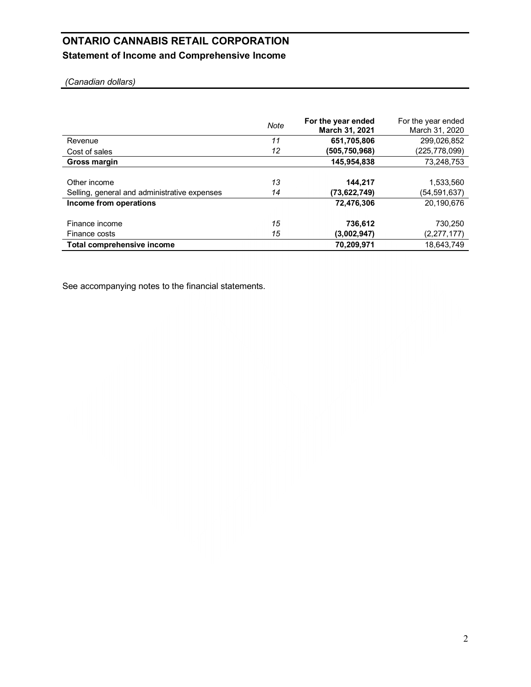# **ONTARIO CANNABIS RETAIL CORPORATION**<br>Statement of Income and Comprehensive Income<br>(Canadian dollars) Statement of Income and Comprehensive Income

(Canadian dollars)

|                                              | Note | For the year ended<br>March 31, 2021 | For the year ended<br>March 31, 2020 |
|----------------------------------------------|------|--------------------------------------|--------------------------------------|
| Revenue                                      | 11   | 651,705,806                          | 299,026,852                          |
| Cost of sales                                | 12   | (505, 750, 968)                      | (225,778,099)                        |
| Gross margin                                 |      | 145,954,838                          | 73,248,753                           |
| Other income                                 | 13   | 144.217                              | 1,533,560                            |
| Selling, general and administrative expenses | 14   | (73,622,749)                         | (54,591,637)                         |
| Income from operations                       |      | 72,476,306                           | 20,190,676                           |
| Finance income                               | 15   | 736.612                              | 730.250                              |
| Finance costs                                | 15   | (3,002,947)                          | (2,277,177)                          |
| Total comprehensive income                   |      | 70,209,971                           | 18,643,749                           |

See accompanying notes to the financial statements.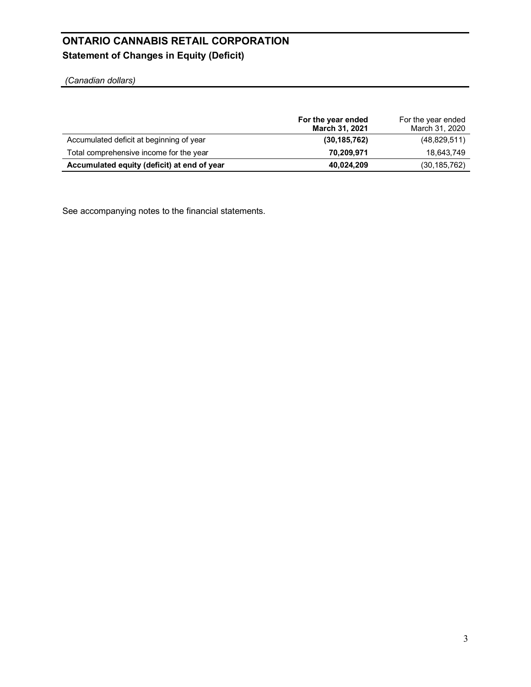# ONTARIO CANNABIS RETAIL CORPORATION Statement of Changes in Equity (Deficit)

(Canadian dollars)

|                                             | For the year ended<br>March 31, 2021 | For the year ended<br>March 31, 2020 |
|---------------------------------------------|--------------------------------------|--------------------------------------|
| Accumulated deficit at beginning of year    | (30, 185, 762)                       | (48,829,511)                         |
| Total comprehensive income for the year     | 70,209,971                           | 18,643,749                           |
| Accumulated equity (deficit) at end of year | 40,024,209                           | (30,185,762)                         |

See accompanying notes to the financial statements.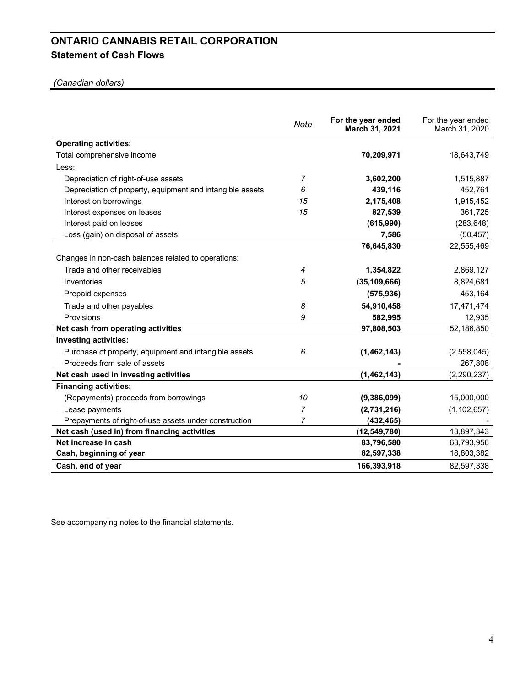# ONTARIO CANNABIS RETAIL CORPORATION Statement of Cash Flows

(Canadian dollars)

| <b>ONTARIO CANNABIS RETAIL CORPORATION</b>                |      |                                      |                                      |
|-----------------------------------------------------------|------|--------------------------------------|--------------------------------------|
| <b>Statement of Cash Flows</b>                            |      |                                      |                                      |
|                                                           |      |                                      |                                      |
| (Canadian dollars)                                        |      |                                      |                                      |
|                                                           |      |                                      |                                      |
|                                                           |      |                                      |                                      |
|                                                           | Note | For the year ended<br>March 31, 2021 | For the year ended<br>March 31, 2020 |
| <b>Operating activities:</b>                              |      |                                      |                                      |
| Total comprehensive income                                |      | 70,209,971                           | 18,643,749                           |
| Less:                                                     |      |                                      |                                      |
| Depreciation of right-of-use assets                       | 7    | 3,602,200                            | 1,515,887                            |
| Depreciation of property, equipment and intangible assets | 6    | 439,116                              | 452,761                              |
| Interest on borrowings                                    | 15   | 2,175,408                            | 1,915,452                            |
| Interest expenses on leases                               | 15   | 827,539                              | 361,725                              |
| Interest paid on leases                                   |      | (615,990)                            | (283, 648)                           |
| Loss (gain) on disposal of assets                         |      | 7,586                                | (50, 457)                            |
|                                                           |      | 76,645,830                           | 22,555,469                           |
| Changes in non-cash balances related to operations:       |      |                                      |                                      |
| Trade and other receivables                               | 4    | 1,354,822                            | 2,869,127                            |
| Inventories                                               | 5    | (35, 109, 666)                       | 8,824,681                            |
| Prepaid expenses                                          |      | (575, 936)                           | 453,164                              |
| Trade and other payables                                  | 8    | 54,910,458                           | 17,471,474                           |
| Provisions                                                | 9    | 582,995                              | 12,935                               |
| Net cash from operating activities                        |      | 97,808,503                           | 52,186,850                           |
| <b>Investing activities:</b>                              |      |                                      |                                      |
| Purchase of property, equipment and intangible assets     | 6    | (1,462,143)                          | (2,558,045)                          |
| Proceeds from sale of assets                              |      |                                      | 267,808                              |
| Net cash used in investing activities                     |      | (1,462,143)                          | (2, 290, 237)                        |
| <b>Financing activities:</b>                              |      |                                      |                                      |
| (Repayments) proceeds from borrowings                     | 10   | (9,386,099)                          | 15,000,000                           |
| Lease payments                                            | 7    | (2,731,216)                          | (1, 102, 657)                        |
| Prepayments of right-of-use assets under construction     | 7    | (432, 465)                           |                                      |
| Net cash (used in) from financing activities              |      | (12, 549, 780)                       | 13,897,343                           |
| Net increase in cash                                      |      | 83,796,580                           | 63,793,956                           |
| Cash, beginning of year                                   |      | 82,597,338                           | 18,803,382                           |
| Cash, end of year                                         |      | 166,393,918                          | 82,597,338                           |

See accompanying notes to the financial statements.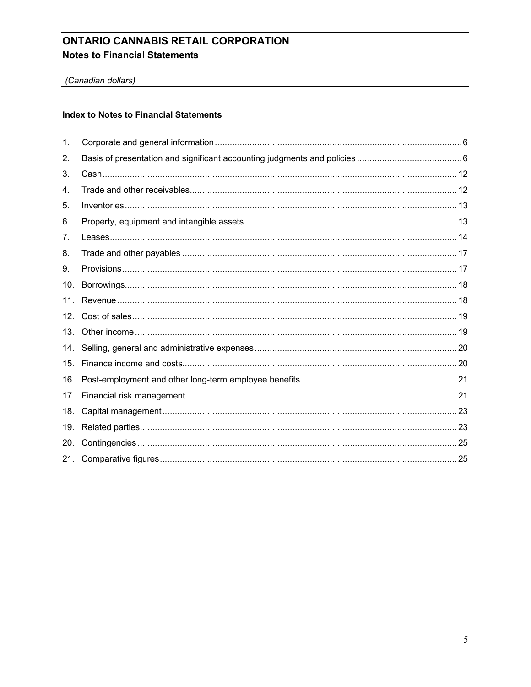(Canadian dollars)

### **Index to Notes to Financial Statements**

| 1.         |  |
|------------|--|
| 2.         |  |
| 3.         |  |
| 4.         |  |
| 5.         |  |
| 6.         |  |
| 7.         |  |
| 8.         |  |
| 9.         |  |
| 10.        |  |
| 11.        |  |
| 12.        |  |
| 13.        |  |
|            |  |
| 15.        |  |
| 16.        |  |
| 17.        |  |
| 18.        |  |
| 19.        |  |
| <b>20.</b> |  |
|            |  |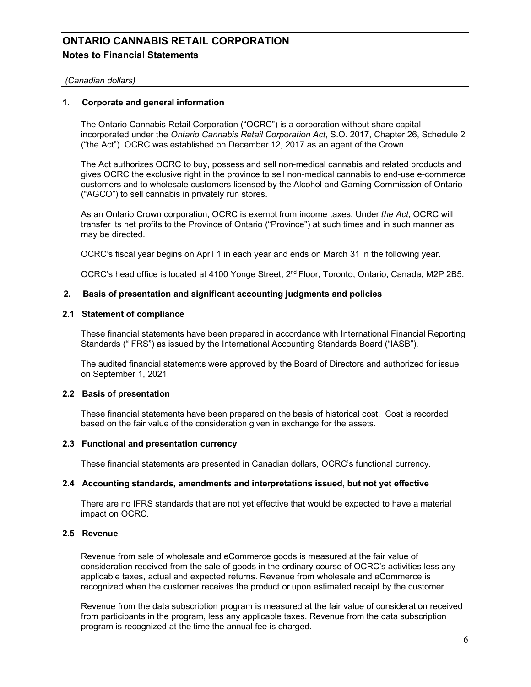### (Canadian dollars)

### 1. Corporate and general information

The Ontario Cannabis Retail Corporation ("OCRC") is a corporation without share capital incorporated under the Ontario Cannabis Retail Corporation Act, S.O. 2017, Chapter 26, Schedule 2 ("the Act"). OCRC was established on December 12, 2017 as an agent of the Crown.

The Act authorizes OCRC to buy, possess and sell non-medical cannabis and related products and gives OCRC the exclusive right in the province to sell non-medical cannabis to end-use e-commerce customers and to wholesale customers licensed by the Alcohol and Gaming Commission of Ontario ("AGCO") to sell cannabis in privately run stores.

As an Ontario Crown corporation, OCRC is exempt from income taxes. Under the Act, OCRC will transfer its net profits to the Province of Ontario ("Province") at such times and in such manner as may be directed.

OCRC's fiscal year begins on April 1 in each year and ends on March 31 in the following year.

OCRC's head office is located at 4100 Yonge Street, 2<sup>nd</sup> Floor, Toronto, Ontario, Canada, M2P 2B5.

### 2. Basis of presentation and significant accounting judgments and policies

### 2.1 Statement of compliance

These financial statements have been prepared in accordance with International Financial Reporting Standards ("IFRS") as issued by the International Accounting Standards Board ("IASB").

The audited financial statements were approved by the Board of Directors and authorized for issue on September 1, 2021.

### 2.2 Basis of presentation

These financial statements have been prepared on the basis of historical cost. Cost is recorded based on the fair value of the consideration given in exchange for the assets.

### 2.3 Functional and presentation currency

These financial statements are presented in Canadian dollars, OCRC's functional currency.

### 2.4 Accounting standards, amendments and interpretations issued, but not yet effective

There are no IFRS standards that are not yet effective that would be expected to have a material impact on OCRC.

### 2.5 Revenue

Revenue from sale of wholesale and eCommerce goods is measured at the fair value of consideration received from the sale of goods in the ordinary course of OCRC's activities less any applicable taxes, actual and expected returns. Revenue from wholesale and eCommerce is recognized when the customer receives the product or upon estimated receipt by the customer.

Revenue from the data subscription program is measured at the fair value of consideration received from participants in the program, less any applicable taxes. Revenue from the data subscription program is recognized at the time the annual fee is charged.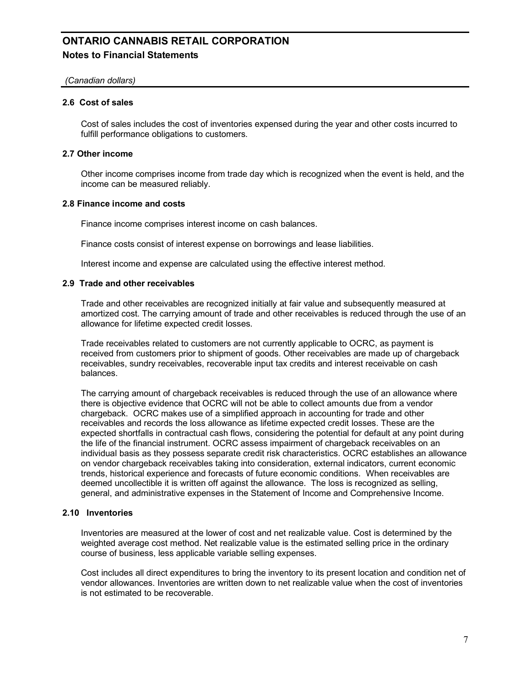### (Canadian dollars)

### 2.6 Cost of sales

Cost of sales includes the cost of inventories expensed during the year and other costs incurred to fulfill performance obligations to customers.

### 2.7 Other income

Other income comprises income from trade day which is recognized when the event is held, and the income can be measured reliably.

### 2.8 Finance income and costs

Finance income comprises interest income on cash balances.

Finance costs consist of interest expense on borrowings and lease liabilities.

Interest income and expense are calculated using the effective interest method.

### 2.9 Trade and other receivables

Trade and other receivables are recognized initially at fair value and subsequently measured at amortized cost. The carrying amount of trade and other receivables is reduced through the use of an allowance for lifetime expected credit losses.

Trade receivables related to customers are not currently applicable to OCRC, as payment is received metallient of the metallients of the customers.<br>
The income comprises income from trade day which is recognized when the event is held, and the<br>
infinite income comprises income from trade day which is recognized receivables, sundry receivables, recoverable input tax credits and interest receivable on cash balances.

The carrying amount of chargeback receivables is reduced through the use of an allowance where there is objective evidence that OCRC will not be able to collect amounts due from a vendor chargeback. OCRC makes use of a simplified approach in accounting for trade and other receivables and records the loss allowance as lifetime expected credit losses. These are the expected shortfalls in contractual cash flows, considering the potential for default at any point during the life of the financial instrument. OCRC assess impairment of chargeback receivables on an individual basis as they possess separate credit risk characteristics. OCRC establishes an allowance on vendor chargeback receivables taking into consideration, external indicators, current economic trends, historical experience and forecasts of future economic conditions. When receivables are deemed uncollectible it is written off against the allowance. The loss is recognized as selling, general, and administrative expenses in the Statement of Income and Comprehensive Income.

### 2.10 Inventories

Inventories are measured at the lower of cost and net realizable value. Cost is determined by the weighted average cost method. Net realizable value is the estimated selling price in the ordinary course of business, less applicable variable selling expenses.

Cost includes all direct expenditures to bring the inventory to its present location and condition net of vendor allowances. Inventories are written down to net realizable value when the cost of inventories is not estimated to be recoverable.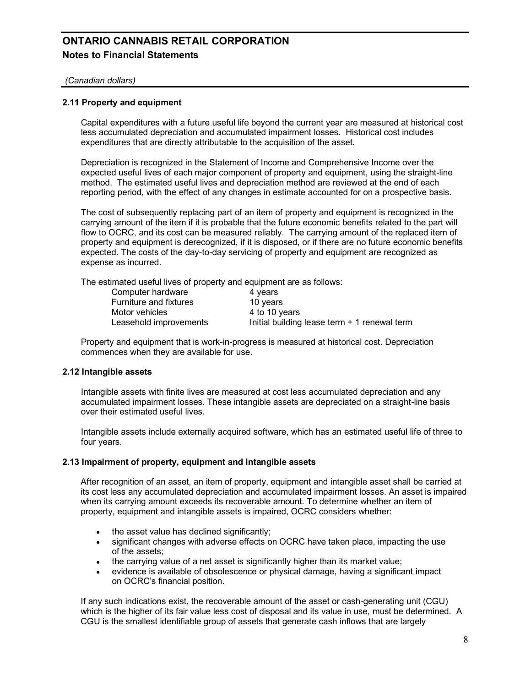### (Canadian dollars)

### 2.11 Property and equipment

Capital expenditures with a future useful life beyond the current year are measured at historical cost less accumulated depreciation and accumulated impairment losses. Historical cost includes expenditures that are directly attributable to the acquisition of the asset.

Depreciation is recognized in the Statement of Income and Comprehensive Income over the expected useful lives of each major component of property and equipment, using the straight-line method. The estimated useful lives and depreciation method are reviewed at the end of each reporting period, with the effect of any changes in estimate accounted for on a prospective basis.

The cost of subsequently replacing part of an item of property and equipment is recognized in the carrying amount of the item if it is probable that the future economic benefits related to the part will flow to OCRC, and its cost can be measured reliably. The carrying amount of the replaced item of property and equipment is derecognized, if it is disposed, or if there are no future economic benefits expected. The costs of the day-to-day servicing of property and equipment are recognized as expense as incurred.

The estimated useful lives of property and equipment are as follows:

| 4 vears                                      |
|----------------------------------------------|
| 10 vears                                     |
| 4 to 10 years                                |
| Initial building lease term + 1 renewal term |
|                                              |

Property and equipment that is work-in-progress is measured at historical cost. Depreciation commences when they are available for use.

### 2.12 Intangible assets

Intangible assets with finite lives are measured at cost less accumulated depreciation and any accumulated impairment losses. These intangible assets are depreciated on a straight-line basis over their estimated useful lives.

Intangible assets include externally acquired software, which has an estimated useful life of three to four years.

### 2.13 Impairment of property, equipment and intangible assets

After recognition of an asset, an item of property, equipment and intangible asset shall be carried at its cost less any accumulated depreciation and accumulated impairment losses. An asset is impaired when its carrying amount exceeds its recoverable amount. To determine whether an item of property, equipment and intangible assets is impaired, OCRC considers whether:

- the asset value has declined significantly;
- significant changes with adverse effects on OCRC have taken place, impacting the use of the assets;
- the carrying value of a net asset is significantly higher than its market value;
- evidence is available of obsolescence or physical damage, having a significant impact on OCRC's financial position.

If any such indications exist, the recoverable amount of the asset or cash-generating unit (CGU) which is the higher of its fair value less cost of disposal and its value in use, must be determined. A CGU is the smallest identifiable group of assets that generate cash inflows that are largely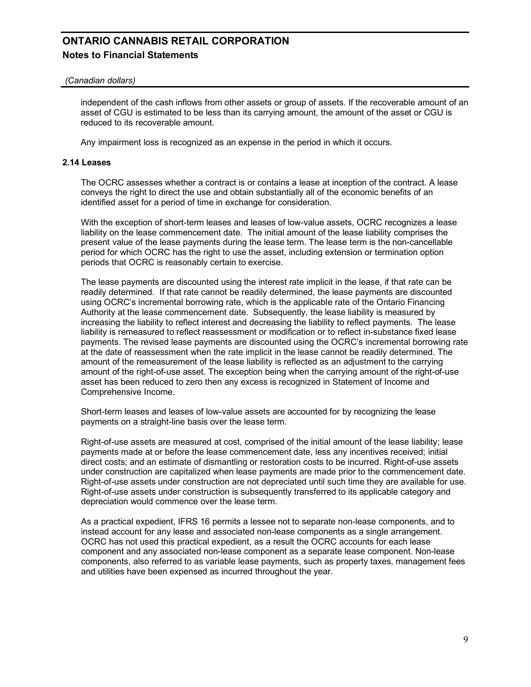### (Canadian dollars)

independent of the cash inflows from other assets or group of assets. If the recoverable amount of an asset of CGU is estimated to be less than its carrying amount, the amount of the asset or CGU is reduced to its recoverable amount. TARIO CANNABIS RETAIL CORPORATION<br>
andian dollars)<br>
independent of the cash inflows from other assets or group of assets. If the recoverable amount of an<br>
asset of CGU is estimated to be less than its carrying amount, the

### 2.14 Leases

The OCRC assesses whether a contract is or contains a lease at inception of the contract. A lease conveys the right to direct the use and obtain substantially all of the economic benefits of an identified asset for a period of time in exchange for consideration.

With the exception of short-term leases and leases of low-value assets, OCRC recognizes a lease liability on the lease commencement date. The initial amount of the lease liability comprises the present value of the lease payments during the lease term. The lease term is the non-cancellable period for which OCRC has the right to use the asset, including extension or termination option periods that OCRC is reasonably certain to exercise.

The lease payments are discounted using the interest rate implicit in the lease, if that rate can be readily determined. If that rate cannot be readily determined, the lease payments are discounted using OCRC's incremental borrowing rate, which is the applicable rate of the Ontario Financing Authority at the lease commencement date. Subsequently, the lease liability is measured by increasing the liability to reflect interest and decreasing the liability to reflect payments. The lease liability is remeasured to reflect reassessment or modification or to reflect in-substance fixed lease payments. The revised lease payments are discounted using the OCRC's incremental borrowing rate at the date of reassessment when the rate implicit in the lease cannot be readily determined. The amount of the remeasurement of the lease liability is reflected as an adjustment to the carrying amount of the right-of-use asset. The exception being when the carrying amount of the right-of-use asset has been reduced to zero then any excess is recognized in Statement of Income and Comprehensive Income.

Short-term leases and leases of low-value assets are accounted for by recognizing the lease payments on a straight-line basis over the lease term.

Right-of-use assets are measured at cost, comprised of the initial amount of the lease liability; lease payments made at or before the lease commencement date, less any incentives received; initial direct costs; and an estimate of dismantling or restoration costs to be incurred. Right-of-use assets under construction are capitalized when lease payments are made prior to the commencement date. Right-of-use assets under construction are not depreciated until such time they are available for use. Right-of-use assets under construction is subsequently transferred to its applicable category and depreciation would commence over the lease term.

As a practical expedient, IFRS 16 permits a lessee not to separate non-lease components, and to instead account for any lease and associated non-lease components as a single arrangement. OCRC has not used this practical expedient, as a result the OCRC accounts for each lease component and any associated non-lease component as a separate lease component. Non-lease components, also referred to as variable lease payments, such as property taxes, management fees and utilities have been expensed as incurred throughout the year.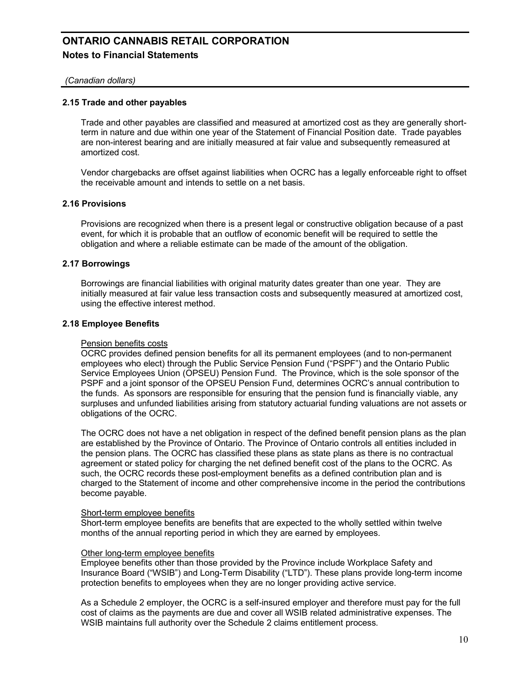### (Canadian dollars)

### 2.15 Trade and other payables

Trade and other payables are classified and measured at amortized cost as they are generally shortterm in nature and due within one year of the Statement of Financial Position date. Trade payables are non-interest bearing and are initially measured at fair value and subsequently remeasured at amortized cost.

 Vendor chargebacks are offset against liabilities when OCRC has a legally enforceable right to offset the receivable amount and intends to settle on a net basis.

### 2.16 Provisions

Provisions are recognized when there is a present legal or constructive obligation because of a past event, for which it is probable that an outflow of economic benefit will be required to settle the obligation and where a reliable estimate can be made of the amount of the obligation.

### 2.17 Borrowings

Borrowings are financial liabilities with original maturity dates greater than one year. They are initially measured at fair value less transaction costs and subsequently measured at amortized cost, using the effective interest method.

### 2.18 Employee Benefits

### Pension benefits costs

OCRC provides defined pension benefits for all its permanent employees (and to non-permanent employees who elect) through the Public Service Pension Fund ("PSPF") and the Ontario Public Service Employees Union (OPSEU) Pension Fund. The Province, which is the sole sponsor of the PSPF and a joint sponsor of the OPSEU Pension Fund, determines OCRC's annual contribution to the funds. As sponsors are responsible for ensuring that the pension fund is financially viable, any surpluses and unfunded liabilities arising from statutory actuarial funding valuations are not assets or obligations of the OCRC.

The OCRC does not have a net obligation in respect of the defined benefit pension plans as the plan are established by the Province of Ontario. The Province of Ontario controls all entities included in the pension plans. The OCRC has classified these plans as state plans as there is no contractual agreement or stated policy for charging the net defined benefit cost of the plans to the OCRC. As such, the OCRC records these post-employment benefits as a defined contribution plan and is charged to the Statement of income and other comprehensive income in the period the contributions become payable.

### Short-term employee benefits

Short-term employee benefits are benefits that are expected to the wholly settled within twelve months of the annual reporting period in which they are earned by employees.

### Other long-term employee benefits

Employee benefits other than those provided by the Province include Workplace Safety and Insurance Board ("WSIB") and Long-Term Disability ("LTD"). These plans provide long-term income protection benefits to employees when they are no longer providing active service.

As a Schedule 2 employer, the OCRC is a self-insured employer and therefore must pay for the full cost of claims as the payments are due and cover all WSIB related administrative expenses. The WSIB maintains full authority over the Schedule 2 claims entitlement process.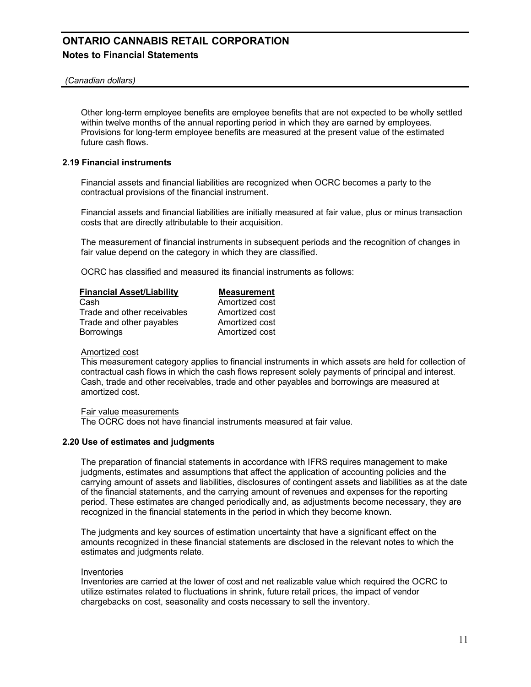Other long-term employee benefits are employee benefits that are not expected to be wholly settled within twelve months of the annual reporting period in which they are earned by employees. Provisions for long-term employee benefits are measured at the present value of the estimated future cash flows. Other long-term employee benefits are employee benefits that are not expected to be wholly settled<br>within twelve months of the annual reporting period in which they are earned by employees.<br>
Financial Frowisions for long-t Other long-term employee benefits are employee benefits that are not expected to be wholly settled<br>within twelve months of the annual reporting period in which they are earned by employees.<br>
Financial Frowisions for tong-t

### 2.19 Financial instruments

Financial assets and financial liabilities are recognized when OCRC becomes a party to the contractual provisions of the financial instrument.

Financial assets and financial liabilities are initially measured at fair value, plus or minus transaction costs that are directly attributable to their acquisition.

The measurement of financial instruments in subsequent periods and the recognition of changes in fair value depend on the category in which they are classified.

OCRC has classified and measured its financial instruments as follows:

| <b>Financial Asset/Liability</b> | <b>Measurement</b> |
|----------------------------------|--------------------|
| Cash                             | Amortized cost     |
| Trade and other receivables      | Amortized cost     |
| Trade and other payables         | Amortized cost     |
| <b>Borrowings</b>                | Amortized cost     |

### Amortized cost

This measurement category applies to financial instruments in which assets are held for collection of contractual cash flows in which the cash flows represent solely payments of principal and interest. Cash, trade and other receivables, trade and other payables and borrowings are measured at amortized cost.

### Fair value measurements

The OCRC does not have financial instruments measured at fair value.

### 2.20 Use of estimates and judgments

The preparation of financial statements in accordance with IFRS requires management to make judgments, estimates and assumptions that affect the application of accounting policies and the carrying amount of assets and liabilities, disclosures of contingent assets and liabilities as at the date of the financial statements, and the carrying amount of revenues and expenses for the reporting period. These estimates are changed periodically and, as adjustments become necessary, they are recognized in the financial statements in the period in which they become known.

The judgments and key sources of estimation uncertainty that have a significant effect on the amounts recognized in these financial statements are disclosed in the relevant notes to which the estimates and judgments relate.

### Inventories

Inventories are carried at the lower of cost and net realizable value which required the OCRC to utilize estimates related to fluctuations in shrink, future retail prices, the impact of vendor chargebacks on cost, seasonality and costs necessary to sell the inventory.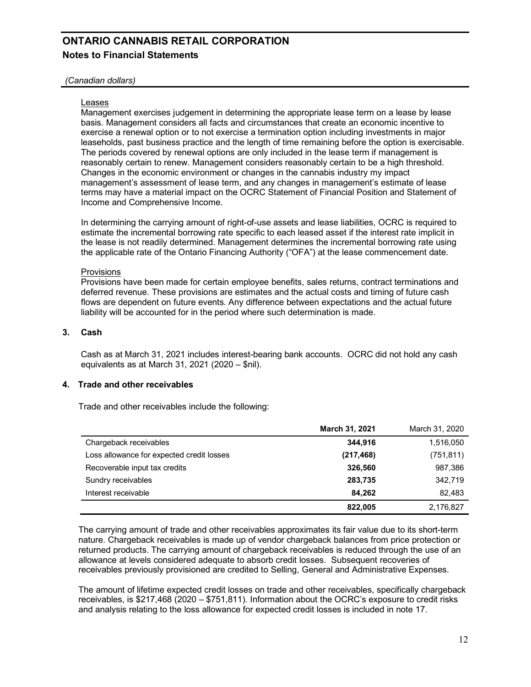### (Canadian dollars)

### Leases

Management exercises judgement in determining the appropriate lease term on a lease by lease basis. Management considers all facts and circumstances that create an economic incentive to exercise a renewal option or to not exercise a termination option including investments in major leaseholds, past business practice and the length of time remaining before the option is exercisable. The periods covered by renewal options are only included in the lease term if management is reasonably certain to renew. Management considers reasonably certain to be a high threshold. Changes in the economic environment or changes in the cannabis industry my impact management's assessment of lease term, and any changes in management's estimate of lease terms may have a material impact on the OCRC Statement of Financial Position and Statement of Income and Comprehensive Income.

In determining the carrying amount of right-of-use assets and lease liabilities, OCRC is required to estimate the incremental borrowing rate specific to each leased asset if the interest rate implicit in the lease is not readily determined. Management determines the incremental borrowing rate using the applicable rate of the Ontario Financing Authority ("OFA") at the lease commencement date.

### **Provisions**

Provisions have been made for certain employee benefits, sales returns, contract terminations and deferred revenue. These provisions are estimates and the actual costs and timing of future cash flows are dependent on future events. Any difference between expectations and the actual future liability will be accounted for in the period where such determination is made.

### 3. Cash

Cash as at March 31, 2021 includes interest-bearing bank accounts. OCRC did not hold any cash equivalents as at March 31, 2021 (2020 – \$nil).

### 4. Trade and other receivables

Trade and other receivables include the following:

|                                           | March 31, 2021 | March 31, 2020 |
|-------------------------------------------|----------------|----------------|
| Chargeback receivables                    | 344,916        | 1,516,050      |
| Loss allowance for expected credit losses | (217, 468)     | (751, 811)     |
| Recoverable input tax credits             | 326,560        | 987,386        |
| Sundry receivables                        | 283,735        | 342,719        |
| Interest receivable                       | 84.262         | 82,483         |
|                                           | 822.005        | 2,176,827      |

The carrying amount of trade and other receivables approximates its fair value due to its short-term nature. Chargeback receivables is made up of vendor chargeback balances from price protection or returned products. The carrying amount of chargeback receivables is reduced through the use of an allowance at levels considered adequate to absorb credit losses. Subsequent recoveries of receivables previously provisioned are credited to Selling, General and Administrative Expenses.

The amount of lifetime expected credit losses on trade and other receivables, specifically chargeback receivables, is \$217,468 (2020 – \$751,811). Information about the OCRC's exposure to credit risks and analysis relating to the loss allowance for expected credit losses is included in note 17.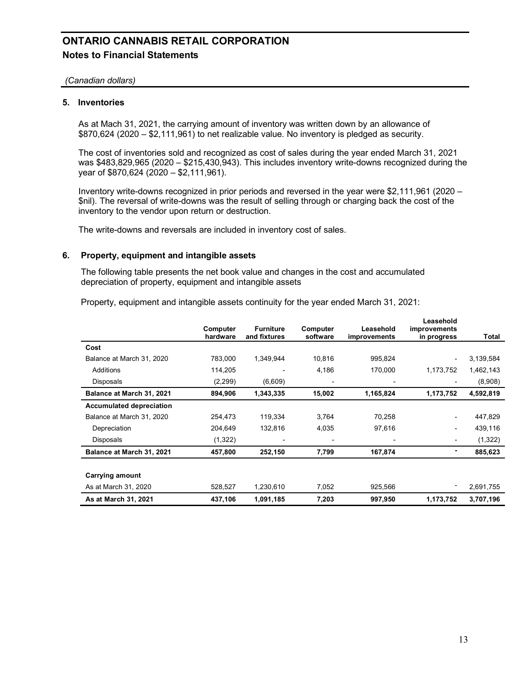### (Canadian dollars)

### 5. Inventories

As at Mach 31, 2021, the carrying amount of inventory was written down by an allowance of \$870,624 (2020 – \$2,111,961) to net realizable value. No inventory is pledged as security.

The cost of inventories sold and recognized as cost of sales during the year ended March 31, 2021 was \$483,829,965 (2020 – \$215,430,943). This includes inventory write-downs recognized during the year of \$870,624 (2020 – \$2,111,961).

Inventory write-downs recognized in prior periods and reversed in the year were \$2,111,961 (2020 – \$nil). The reversal of write-downs was the result of selling through or charging back the cost of the inventory to the vendor upon return or destruction.

The write-downs and reversals are included in inventory cost of sales.

### 6. Property, equipment and intangible assets

The following table presents the net book value and changes in the cost and accumulated depreciation of property, equipment and intangible assets

Property, equipment and intangible assets continuity for the year ended March 31, 2021:

|                                 | Computer | <b>Furniture</b>         | Computer | Leasehold    | Leasehold<br>improvements |           |
|---------------------------------|----------|--------------------------|----------|--------------|---------------------------|-----------|
|                                 | hardware | and fixtures             | software | improvements | in progress               | Total     |
| Cost                            |          |                          |          |              |                           |           |
| Balance at March 31, 2020       | 783,000  | 1,349,944                | 10,816   | 995,824      | $\blacksquare$            | 3,139,584 |
| Additions                       | 114,205  | $\blacksquare$           | 4,186    | 170,000      | 1,173,752                 | 1,462,143 |
| Disposals                       | (2,299)  | (6,609)                  |          |              | $\blacksquare$            | (8,908)   |
| Balance at March 31, 2021       | 894,906  | 1,343,335                | 15,002   | 1,165,824    | 1,173,752                 | 4,592,819 |
| <b>Accumulated depreciation</b> |          |                          |          |              |                           |           |
| Balance at March 31, 2020       | 254,473  | 119,334                  | 3,764    | 70,258       | $\overline{\phantom{0}}$  | 447,829   |
| Depreciation                    | 204,649  | 132,816                  | 4,035    | 97,616       | $\blacksquare$            | 439,116   |
| Disposals                       | (1, 322) | $\overline{\phantom{a}}$ | -        | -            | $\blacksquare$            | (1, 322)  |
| Balance at March 31, 2021       | 457,800  | 252,150                  | 7,799    | 167,874      |                           | 885,623   |
| <b>Carrying amount</b>          |          |                          |          |              |                           |           |
| As at March 31, 2020            | 528,527  | 1,230,610                | 7,052    | 925,566      |                           | 2,691,755 |
| As at March 31, 2021            | 437,106  | 1,091,185                | 7,203    | 997,950      | 1,173,752                 | 3,707,196 |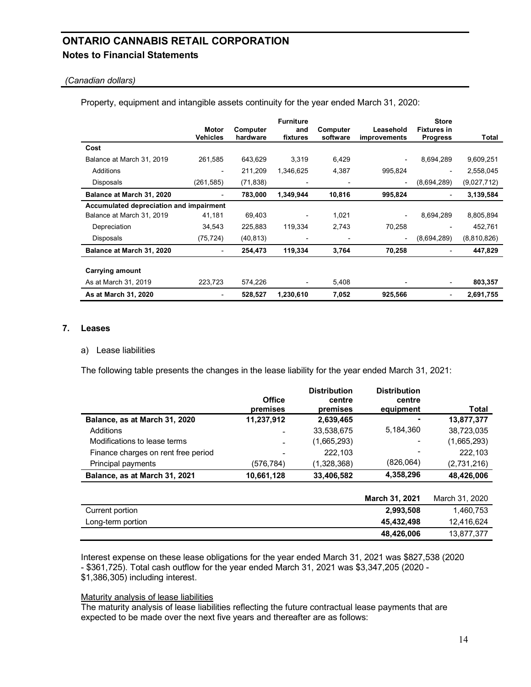### (Canadian dollars)

Property, equipment and intangible assets continuity for the year ended March 31, 2020:

|                                                                                                    | <b>Motor</b><br><b>Vehicles</b> | Computer<br>hardware | <b>Furniture</b><br>and<br>fixtures | Computer<br>software          | Leasehold<br>improvements     | <b>Store</b><br><b>Fixtures in</b><br><b>Progress</b> | Total       |
|----------------------------------------------------------------------------------------------------|---------------------------------|----------------------|-------------------------------------|-------------------------------|-------------------------------|-------------------------------------------------------|-------------|
| Cost                                                                                               |                                 |                      |                                     |                               |                               |                                                       |             |
| Balance at March 31, 2019                                                                          | 261,585                         | 643,629              | 3,319                               | 6,429                         | $\blacksquare$                | 8,694,289                                             | 9,609,251   |
| Additions                                                                                          | $\blacksquare$                  | 211,209              | 1,346,625                           | 4,387                         | 995,824                       | $\overline{\phantom{a}}$                              | 2,558,045   |
| Disposals                                                                                          | (261, 585)                      | (71, 838)            |                                     | $\overline{\phantom{a}}$      | $\overline{\phantom{a}}$      | (8,694,289)                                           | (9,027,712) |
| Balance at March 31, 2020                                                                          | $\blacksquare$                  | 783,000              | 1,349,944                           | 10,816                        | 995,824                       | $\blacksquare$                                        | 3,139,584   |
| Accumulated depreciation and impairment                                                            |                                 |                      |                                     |                               |                               |                                                       |             |
| Balance at March 31, 2019                                                                          | 41,181                          | 69,403               |                                     | 1,021                         | $\overline{\phantom{a}}$      | 8,694,289                                             | 8,805,894   |
| Depreciation                                                                                       | 34,543                          | 225,883              | 119,334                             | 2,743                         | 70,258                        | $\overline{a}$                                        | 452,761     |
| Disposals                                                                                          | (75, 724)                       | (40, 813)            |                                     |                               |                               | (8,694,289)                                           | (8,810,826) |
| Balance at March 31, 2020                                                                          | $\overline{\phantom{a}}$        | 254,473              | 119,334                             | 3,764                         | 70,258                        | $\blacksquare$                                        | 447,829     |
| <b>Carrying amount</b>                                                                             |                                 |                      |                                     |                               |                               |                                                       |             |
| As at March 31, 2019                                                                               | 223,723                         | 574,226              |                                     | 5,408                         |                               | $\overline{a}$                                        | 803,357     |
| As at March 31, 2020                                                                               | $\overline{\phantom{a}}$        | 528,527              | 1,230,610                           | 7,052                         | 925,566                       | $\overline{\phantom{a}}$                              | 2,691,755   |
| <b>Leases</b>                                                                                      |                                 |                      |                                     |                               |                               |                                                       |             |
| Lease liabilities<br>a)                                                                            |                                 |                      |                                     |                               |                               |                                                       |             |
| The following table presents the changes in the lease liability for the year ended March 31, 2021: |                                 |                      |                                     |                               |                               |                                                       |             |
|                                                                                                    |                                 |                      | <b>Office</b>                       | <b>Distribution</b><br>centre | <b>Distribution</b><br>centre |                                                       |             |

### 7. Leases

|                                     | <b>Office</b><br>premises | <b>Distribution</b><br>centre<br>premises | <b>Distribution</b><br>centre<br>equipment | <b>Total</b> |
|-------------------------------------|---------------------------|-------------------------------------------|--------------------------------------------|--------------|
| Balance, as at March 31, 2020       | 11,237,912                | 2,639,465                                 |                                            | 13,877,377   |
| Additions                           |                           | 33.538.675                                | 5.184.360                                  | 38.723.035   |
| Modifications to lease terms        |                           | (1,665,293)                               |                                            | (1,665,293)  |
| Finance charges on rent free period |                           | 222.103                                   |                                            | 222.103      |
| Principal payments                  | (576, 784)                | (1,328,368)                               | (826,064)                                  | (2,731,216)  |
| Balance, as at March 31, 2021       | 10,661,128                | 33.406.582                                | 4,358,296                                  | 48,426,006   |

|                   | <b>March 31, 2021</b> | March 31, 2020 |
|-------------------|-----------------------|----------------|
| Current portion   | 2,993,508             | .460,753       |
| Long-term portion | 45,432,498            | 12,416,624     |
|                   | 48,426,006            | 13,877,377     |

Interest expense on these lease obligations for the year ended March 31, 2021 was \$827,538 (2020 - \$361,725). Total cash outflow for the year ended March 31, 2021 was \$3,347,205 (2020 - \$1,386,305) including interest.

### Maturity analysis of lease liabilities

The maturity analysis of lease liabilities reflecting the future contractual lease payments that are expected to be made over the next five years and thereafter are as follows: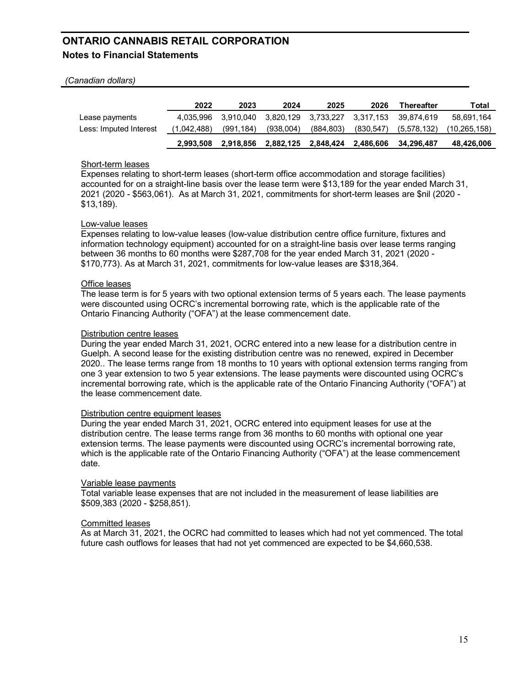### (Canadian dollars)

|                        | 2022        | 2023       | 2024      | 2025      | 2026      | Thereafter  | Total        |
|------------------------|-------------|------------|-----------|-----------|-----------|-------------|--------------|
| Lease payments         | 4.035.996   | 3.910.040  | 3,820,129 | 3,733,227 | 3,317,153 | 39.874.619  | 58.691.164   |
| Less: Imputed Interest | (1,042,488) | (991, 184) | (938,004) | (884.803) | (830.547) | (5.578.132) | (10,265,158) |
|                        | 2,993,508   | 2,918,856  | 2,882,125 | 2,848,424 | 2,486,606 | 34,296,487  | 48,426,006   |

### Short-term leases

Expenses relating to short-term leases (short-term office accommodation and storage facilities) accounted for on a straight-line basis over the lease term were \$13,189 for the year ended March 31, 2021 (2020 - \$563,061). As at March 31, 2021, commitments for short-term leases are \$nil (2020 - \$13,189).

### Low-value leases

Expenses relating to low-value leases (low-value distribution centre office furniture, fixtures and information technology equipment) accounted for on a straight-line basis over lease terms ranging between 36 months to 60 months were \$287,708 for the year ended March 31, 2021 (2020 - \$170,773). As at March 31, 2021, commitments for low-value leases are \$318,364.

### Office leases

The lease term is for 5 years with two optional extension terms of 5 years each. The lease payments were discounted using OCRC's incremental borrowing rate, which is the applicable rate of the Ontario Financing Authority ("OFA") at the lease commencement date.

### Distribution centre leases

During the year ended March 31, 2021, OCRC entered into a new lease for a distribution centre in Guelph. A second lease for the existing distribution centre was no renewed, expired in December 2020.. The lease terms range from 18 months to 10 years with optional extension terms ranging from one 3 year extension to two 5 year extensions. The lease payments were discounted using OCRC's incremental borrowing rate, which is the applicable rate of the Ontario Financing Authority ("OFA") at the lease commencement date.

### Distribution centre equipment leases

During the year ended March 31, 2021, OCRC entered into equipment leases for use at the distribution centre. The lease terms range from 36 months to 60 months with optional one year extension terms. The lease payments were discounted using OCRC's incremental borrowing rate, which is the applicable rate of the Ontario Financing Authority ("OFA") at the lease commencement date.

### Variable lease payments

Total variable lease expenses that are not included in the measurement of lease liabilities are \$509,383 (2020 - \$258,851).

### Committed leases

As at March 31, 2021, the OCRC had committed to leases which had not yet commenced. The total future cash outflows for leases that had not yet commenced are expected to be \$4,660,538.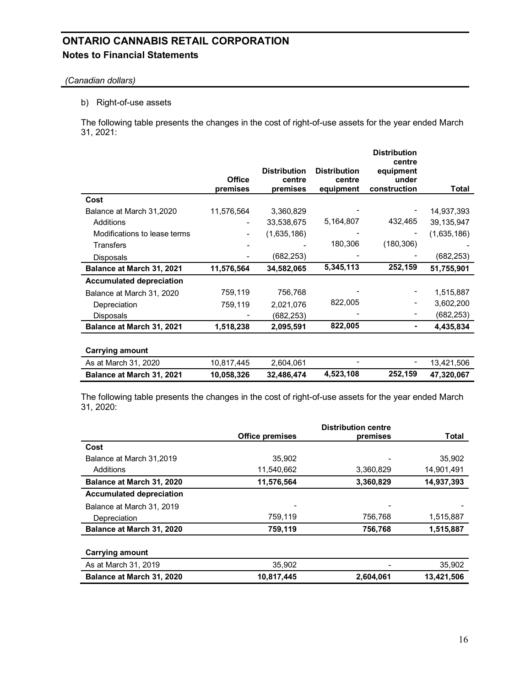### (Canadian dollars)

### b) Right-of-use assets

The following table presents the changes in the cost of right-of-use assets for the year ended March 31, 2021:

|                                 | <b>Office</b><br>premises | <b>Distribution</b><br>centre<br>premises | <b>Distribution</b><br>centre<br>equipment | <b>Distribution</b><br>centre<br>equipment<br>under<br>construction | Total       |
|---------------------------------|---------------------------|-------------------------------------------|--------------------------------------------|---------------------------------------------------------------------|-------------|
| Cost                            |                           |                                           |                                            |                                                                     |             |
| Balance at March 31,2020        | 11,576,564                | 3,360,829                                 |                                            |                                                                     | 14,937,393  |
| Additions                       | $\blacksquare$            | 33,538,675                                | 5,164,807                                  | 432,465                                                             | 39,135,947  |
| Modifications to lease terms    | $\blacksquare$            | (1,635,186)                               |                                            |                                                                     | (1,635,186) |
| <b>Transfers</b>                |                           |                                           | 180,306                                    | (180, 306)                                                          |             |
| <b>Disposals</b>                |                           | (682, 253)                                |                                            |                                                                     | (682, 253)  |
| Balance at March 31, 2021       | 11,576,564                | 34,582,065                                | 5,345,113                                  | 252,159                                                             | 51,755,901  |
| <b>Accumulated depreciation</b> |                           |                                           |                                            |                                                                     |             |
| Balance at March 31, 2020       | 759,119                   | 756,768                                   |                                            |                                                                     | 1,515,887   |
| Depreciation                    | 759,119                   | 2,021,076                                 | 822,005                                    | -                                                                   | 3,602,200   |
| <b>Disposals</b>                |                           | (682,253)                                 |                                            |                                                                     | (682, 253)  |
| Balance at March 31, 2021       | 1,518,238                 | 2,095,591                                 | 822,005                                    | ۰                                                                   | 4,435,834   |

| 501111190111001110        |            |            |           |         |                 |
|---------------------------|------------|------------|-----------|---------|-----------------|
| 2020<br>As at March 31.   | 10.817.445 | 2.604.061  |           |         | 13.421.506      |
| Balance at March 31, 2021 | 10.058.326 | 32.486.474 | 4,523,108 | 252,159 | 7.320.067<br>47 |
|                           |            |            |           |         |                 |

The following table presents the changes in the cost of right-of-use assets for the year ended March 31, 2020:

|                                 | <b>Distribution centre</b> |           |            |
|---------------------------------|----------------------------|-----------|------------|
|                                 | <b>Office premises</b>     | premises  | Total      |
| Cost                            |                            |           |            |
| Balance at March 31,2019        | 35,902                     |           | 35,902     |
| Additions                       | 11,540,662                 | 3,360,829 | 14,901,491 |
| Balance at March 31, 2020       | 11,576,564                 | 3,360,829 | 14,937,393 |
| <b>Accumulated depreciation</b> |                            |           |            |
| Balance at March 31, 2019       |                            |           |            |
| <b>Depreciation</b>             | 759,119                    | 756,768   | 1,515,887  |
| Balance at March 31, 2020       | 759,119                    | 756,768   | 1,515,887  |
| <b>Carrying amount</b>          |                            |           |            |
| As at March 31, 2019            | 35,902                     |           | 35,902     |
| Balance at March 31, 2020       | 10,817,445                 | 2,604,061 | 13,421,506 |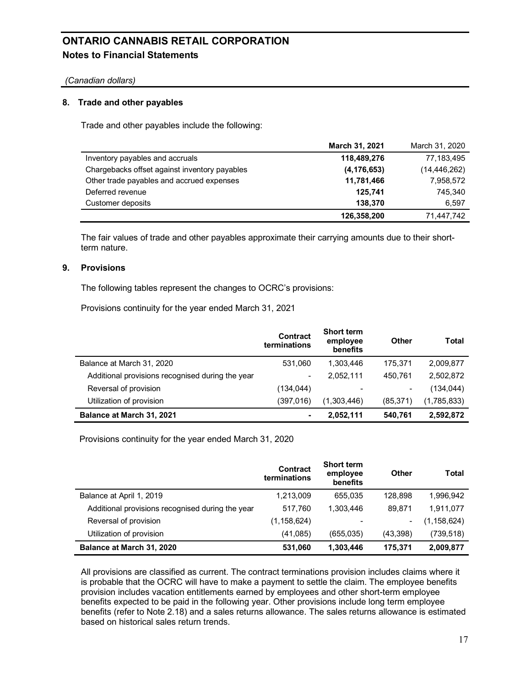### (Canadian dollars)

### 8. Trade and other payables

Trade and other payables include the following:

|                                               | March 31, 2021 | March 31, 2020 |
|-----------------------------------------------|----------------|----------------|
| Inventory payables and accruals               | 118,489,276    | 77,183,495     |
| Chargebacks offset against inventory payables | (4, 176, 653)  | (14,446,262)   |
| Other trade payables and accrued expenses     | 11,781,466     | 7,958,572      |
| Deferred revenue                              | 125.741        | 745,340        |
| Customer deposits                             | 138.370        | 6,597          |
|                                               | 126,358,200    | 71.447.742     |

The fair values of trade and other payables approximate their carrying amounts due to their shortterm nature.

### 9. Provisions

The following tables represent the changes to OCRC's provisions:

Provisions continuity for the year ended March 31, 2021

|                                                  | <b>Contract</b><br>terminations | <b>Short term</b><br>employee<br>benefits | Other                    | <b>Total</b> |
|--------------------------------------------------|---------------------------------|-------------------------------------------|--------------------------|--------------|
| Balance at March 31, 2020                        | 531.060                         | 1,303,446                                 | 175.371                  | 2,009,877    |
| Additional provisions recognised during the year | $\overline{\phantom{0}}$        | 2,052,111                                 | 450.761                  | 2,502,872    |
| Reversal of provision                            | (134, 044)                      | $\overline{\phantom{0}}$                  | $\overline{\phantom{0}}$ | (134,044)    |
| Utilization of provision                         | (397,016)                       | (1,303,446)                               | (85, 371)                | (1,785,833)  |
| Balance at March 31, 2021                        |                                 | 2,052,111                                 | 540.761                  | 2,592,872    |

Provisions continuity for the year ended March 31, 2020

|                                                  | <b>Contract</b><br>terminations | <b>Short term</b><br>employee<br>benefits | Other          | <b>Total</b>  |
|--------------------------------------------------|---------------------------------|-------------------------------------------|----------------|---------------|
| Balance at April 1, 2019                         | 1,213,009                       | 655.035                                   | 128,898        | 1,996,942     |
| Additional provisions recognised during the year | 517.760                         | 1,303,446                                 | 89,871         | 1,911,077     |
| Reversal of provision                            | (1,158,624)                     |                                           | $\blacksquare$ | (1, 158, 624) |
| Utilization of provision                         | (41,085)                        | (655,035)                                 | (43, 398)      | (739, 518)    |
| Balance at March 31, 2020                        | 531.060                         | 1,303,446                                 | 175,371        | 2,009,877     |

All provisions are classified as current. The contract terminations provision includes claims where it is probable that the OCRC will have to make a payment to settle the claim. The employee benefits provision includes vacation entitlements earned by employees and other short-term employee benefits expected to be paid in the following year. Other provisions include long term employee benefits (refer to Note 2.18) and a sales returns allowance. The sales returns allowance is estimated based on historical sales return trends.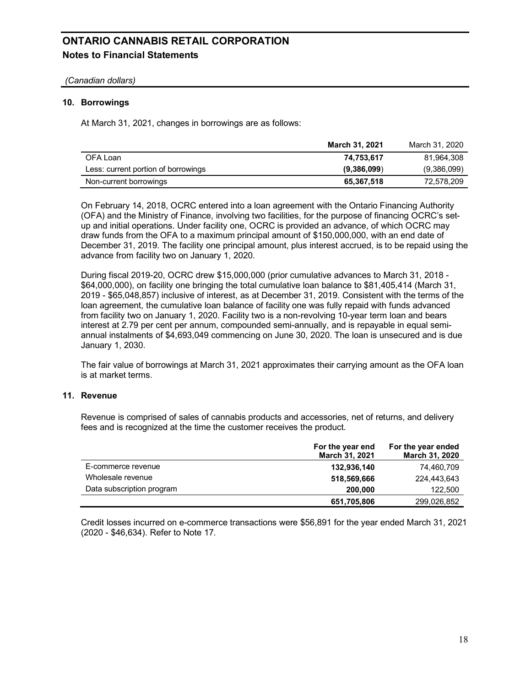(Canadian dollars)

### 10. Borrowings

At March 31, 2021, changes in borrowings are as follows:

|                                     | <b>March 31, 2021</b> | March 31, 2020 |
|-------------------------------------|-----------------------|----------------|
| OFA Loan                            | 74.753.617            | 81,964,308     |
| Less: current portion of borrowings | (9,386,099)           | (9,386,099)    |
| Non-current borrowings              | 65,367,518            | 72,578,209     |

On February 14, 2018, OCRC entered into a loan agreement with the Ontario Financing Authority (OFA) and the Ministry of Finance, involving two facilities, for the purpose of financing OCRC's setup and initial operations. Under facility one, OCRC is provided an advance, of which OCRC may draw funds from the OFA to a maximum principal amount of \$150,000,000, with an end date of December 31, 2019. The facility one principal amount, plus interest accrued, is to be repaid using the advance from facility two on January 1, 2020.

During fiscal 2019-20, OCRC drew \$15,000,000 (prior cumulative advances to March 31, 2018 - \$64,000,000), on facility one bringing the total cumulative loan balance to \$81,405,414 (March 31, 2019 - \$65,048,857) inclusive of interest, as at December 31, 2019. Consistent with the terms of the loan agreement, the cumulative loan balance of facility one was fully repaid with funds advanced from facility two on January 1, 2020. Facility two is a non-revolving 10-year term loan and bears interest at 2.79 per cent per annum, compounded semi-annually, and is repayable in equal semiannual instalments of \$4,693,049 commencing on June 30, 2020. The loan is unsecured and is due January 1, 2030.

The fair value of borrowings at March 31, 2021 approximates their carrying amount as the OFA loan is at market terms.

### 11. Revenue

Revenue is comprised of sales of cannabis products and accessories, net of returns, and delivery fees and is recognized at the time the customer receives the product.

|                           | For the year end<br><b>March 31, 2021</b> | For the year ended<br><b>March 31, 2020</b> |
|---------------------------|-------------------------------------------|---------------------------------------------|
| E-commerce revenue        | 132,936,140                               | 74,460,709                                  |
| Wholesale revenue         | 518,569,666                               | 224,443,643                                 |
| Data subscription program | 200,000                                   | 122,500                                     |
|                           | 651,705,806                               | 299,026,852                                 |

Credit losses incurred on e-commerce transactions were \$56,891 for the year ended March 31, 2021 (2020 - \$46,634). Refer to Note 17.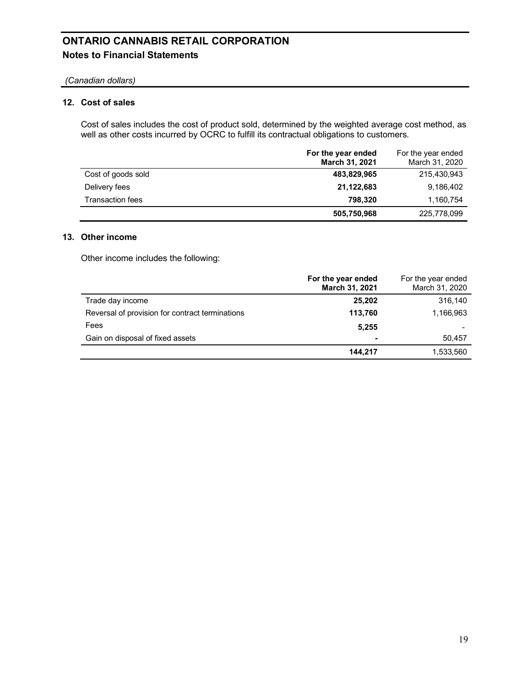### (Canadian dollars)

### 12. Cost of sales

Cost of sales includes the cost of product sold, determined by the weighted average cost method, as well as other costs incurred by OCRC to fulfill its contractual obligations to customers.

|                    | For the year ended<br><b>March 31, 2021</b> | For the year ended<br>March 31, 2020 |
|--------------------|---------------------------------------------|--------------------------------------|
| Cost of goods sold | 483,829,965                                 | 215,430,943                          |
| Delivery fees      | 21,122,683                                  | 9,186,402                            |
| Transaction fees   | 798.320                                     | 1,160,754                            |
|                    | 505,750,968                                 | 225,778,099                          |

### 13. Other income

Other income includes the following:

|                                                 | For the year ended<br>March 31, 2021 | For the year ended<br>March 31, 2020 |
|-------------------------------------------------|--------------------------------------|--------------------------------------|
| Trade day income                                | 25,202                               | 316,140                              |
| Reversal of provision for contract terminations | 113,760                              | 1,166,963                            |
| Fees                                            | 5,255                                | $\overline{\phantom{0}}$             |
| Gain on disposal of fixed assets                | $\overline{\phantom{a}}$             | 50,457                               |
|                                                 | 144.217                              | ,533,560                             |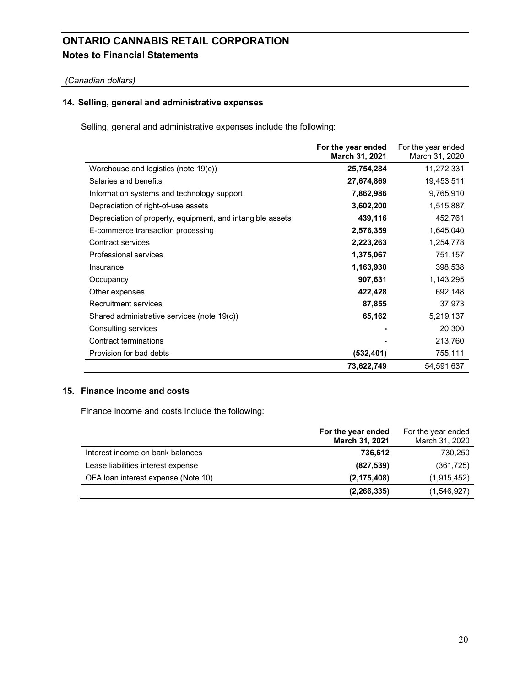### (Canadian dollars)

### 14. Selling, general and administrative expenses

Selling, general and administrative expenses include the following:

|                                                            | For the year ended<br>March 31, 2021 | For the year ended<br>March 31, 2020 |
|------------------------------------------------------------|--------------------------------------|--------------------------------------|
| Warehouse and logistics (note 19(c))                       | 25,754,284                           | 11,272,331                           |
| Salaries and benefits                                      | 27,674,869                           | 19,453,511                           |
| Information systems and technology support                 | 7,862,986                            | 9,765,910                            |
| Depreciation of right-of-use assets                        | 3,602,200                            | 1,515,887                            |
| Depreciation of property, equipment, and intangible assets | 439,116                              | 452,761                              |
| E-commerce transaction processing                          | 2,576,359                            | 1,645,040                            |
| Contract services                                          | 2,223,263                            | 1,254,778                            |
| Professional services                                      | 1,375,067                            | 751,157                              |
| Insurance                                                  | 1,163,930                            | 398,538                              |
| Occupancy                                                  | 907,631                              | 1,143,295                            |
| Other expenses                                             | 422,428                              | 692,148                              |
| Recruitment services                                       | 87,855                               | 37,973                               |
| Shared administrative services (note 19(c))                | 65,162                               | 5,219,137                            |
| Consulting services                                        |                                      | 20,300                               |
| Contract terminations                                      |                                      | 213,760                              |
| Provision for bad debts                                    | (532, 401)                           | 755,111                              |
|                                                            | 73,622,749                           | 54,591,637                           |

### 15. Finance income and costs

Finance income and costs include the following:

|                                     | For the year ended<br><b>March 31, 2021</b> | For the year ended<br>March 31, 2020 |
|-------------------------------------|---------------------------------------------|--------------------------------------|
| Interest income on bank balances    | 736.612                                     | 730,250                              |
| Lease liabilities interest expense  | (827, 539)                                  | (361, 725)                           |
| OFA loan interest expense (Note 10) | (2, 175, 408)                               | (1,915,452)                          |
|                                     | (2, 266, 335)                               | (1,546,927)                          |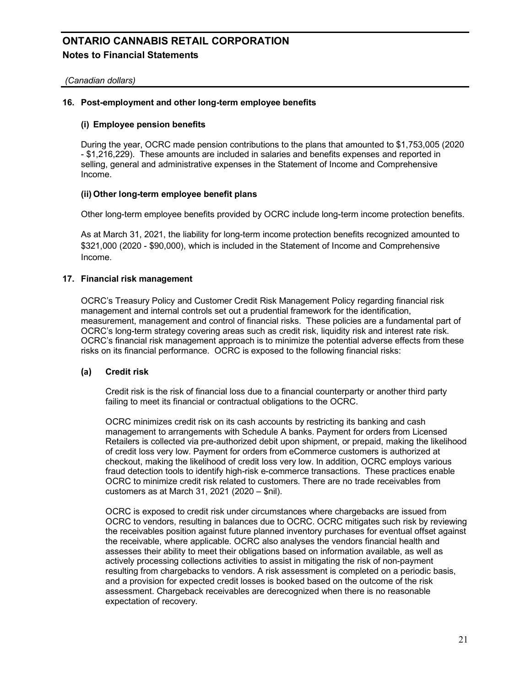### (Canadian dollars)

### 16. Post-employment and other long-term employee benefits

### (i) Employee pension benefits

During the year, OCRC made pension contributions to the plans that amounted to \$1,753,005 (2020 - \$1,216,229). These amounts are included in salaries and benefits expenses and reported in selling, general and administrative expenses in the Statement of Income and Comprehensive Income.

### (ii) Other long-term employee benefit plans

Other long-term employee benefits provided by OCRC include long-term income protection benefits.

 As at March 31, 2021, the liability for long-term income protection benefits recognized amounted to \$321,000 (2020 - \$90,000), which is included in the Statement of Income and Comprehensive Income.

### 17. Financial risk management

OCRC's Treasury Policy and Customer Credit Risk Management Policy regarding financial risk management and internal controls set out a prudential framework for the identification, measurement, management and control of financial risks. These policies are a fundamental part of OCRC's long-term strategy covering areas such as credit risk, liquidity risk and interest rate risk. OCRC's financial risk management approach is to minimize the potential adverse effects from these risks on its financial performance. OCRC is exposed to the following financial risks:

### (a) Credit risk

Credit risk is the risk of financial loss due to a financial counterparty or another third party failing to meet its financial or contractual obligations to the OCRC.

OCRC minimizes credit risk on its cash accounts by restricting its banking and cash management to arrangements with Schedule A banks. Payment for orders from Licensed Retailers is collected via pre-authorized debit upon shipment, or prepaid, making the likelihood of credit loss very low. Payment for orders from eCommerce customers is authorized at checkout, making the likelihood of credit loss very low. In addition, OCRC employs various fraud detection tools to identify high-risk e-commerce transactions. These practices enable OCRC to minimize credit risk related to customers. There are no trade receivables from customers as at March 31, 2021 (2020 – \$nil).

OCRC is exposed to credit risk under circumstances where chargebacks are issued from OCRC to vendors, resulting in balances due to OCRC. OCRC mitigates such risk by reviewing the receivables position against future planned inventory purchases for eventual offset against the receivable, where applicable. OCRC also analyses the vendors financial health and assesses their ability to meet their obligations based on information available, as well as actively processing collections activities to assist in mitigating the risk of non-payment resulting from chargebacks to vendors. A risk assessment is completed on a periodic basis, and a provision for expected credit losses is booked based on the outcome of the risk assessment. Chargeback receivables are derecognized when there is no reasonable expectation of recovery.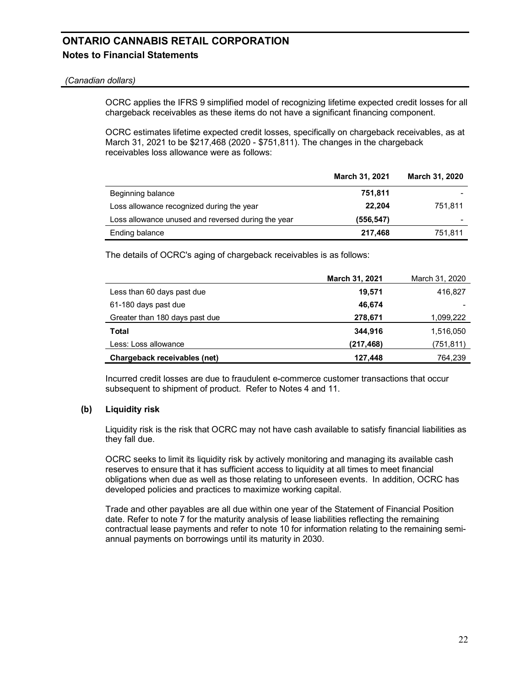### (Canadian dollars)

OCRC applies the IFRS 9 simplified model of recognizing lifetime expected credit losses for all chargeback receivables as these items do not have a significant financing component.

OCRC estimates lifetime expected credit losses, specifically on chargeback receivables, as at March 31, 2021 to be \$217,468 (2020 - \$751,811). The changes in the chargeback receivables loss allowance were as follows:

|                                                    | <b>March 31, 2021</b> | <b>March 31, 2020</b>    |
|----------------------------------------------------|-----------------------|--------------------------|
| Beginning balance                                  | 751,811               | $\blacksquare$           |
| Loss allowance recognized during the year          | 22.204                | 751.811                  |
| Loss allowance unused and reversed during the year | (556, 547)            | $\overline{\phantom{a}}$ |
| Ending balance                                     | 217,468               | 751,811                  |

The details of OCRC's aging of chargeback receivables is as follows:

|                                | <b>March 31, 2021</b> | March 31, 2020           |
|--------------------------------|-----------------------|--------------------------|
| Less than 60 days past due     | 19,571                | 416,827                  |
| 61-180 days past due           | 46,674                | $\overline{\phantom{0}}$ |
| Greater than 180 days past due | 278,671               | 1,099,222                |
| Total                          | 344.916               | 1,516,050                |
| Less: Loss allowance           | (217, 468)            | (751,811)                |
| Chargeback receivables (net)   | 127.448               | 764,239                  |

Incurred credit losses are due to fraudulent e-commerce customer transactions that occur subsequent to shipment of product. Refer to Notes 4 and 11.

### (b) Liquidity risk

Liquidity risk is the risk that OCRC may not have cash available to satisfy financial liabilities as they fall due.

OCRC seeks to limit its liquidity risk by actively monitoring and managing its available cash reserves to ensure that it has sufficient access to liquidity at all times to meet financial obligations when due as well as those relating to unforeseen events. In addition, OCRC has developed policies and practices to maximize working capital.

Trade and other payables are all due within one year of the Statement of Financial Position date. Refer to note 7 for the maturity analysis of lease liabilities reflecting the remaining contractual lease payments and refer to note 10 for information relating to the remaining semiannual payments on borrowings until its maturity in 2030.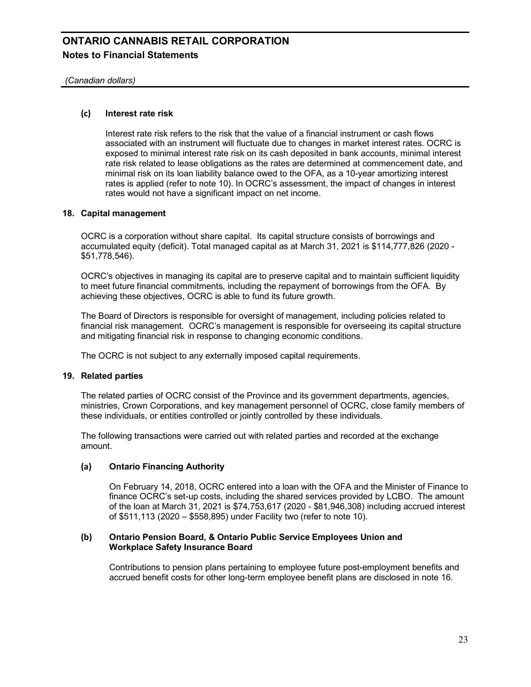### (c) Interest rate risk

Interest rate risk refers to the risk that the value of a financial instrument or cash flows associated with an instrument will fluctuate due to changes in market interest rates. OCRC is exposed to minimal interest rate risk on its cash deposited in bank accounts, minimal interest rate risk related to lease obligations as the rates are determined at commencement date, and minimal risk on its loan liability balance owed to the OFA, as a 10-year amortizing interest rates is applied (refer to note 10). In OCRC's assessment, the impact of changes in interest rates would not have a significant impact on net income.

### 18. Capital management

OCRC is a corporation without share capital. Its capital structure consists of borrowings and accumulated equity (deficit). Total managed capital as at March 31, 2021 is \$114,777,826 (2020 - \$51,778,546).

OCRC's objectives in managing its capital are to preserve capital and to maintain sufficient liquidity to meet future financial commitments, including the repayment of borrowings from the OFA. By achieving these objectives, OCRC is able to fund its future growth.

The Board of Directors is responsible for oversight of management, including policies related to financial risk management. OCRC's management is responsible for overseeing its capital structure and mitigating financial risk in response to changing economic conditions.

The OCRC is not subject to any externally imposed capital requirements.

### 19. Related parties

The related parties of OCRC consist of the Province and its government departments, agencies, ministries, Crown Corporations, and key management personnel of OCRC, close family members of these individuals, or entities controlled or jointly controlled by these individuals.

The following transactions were carried out with related parties and recorded at the exchange amount.

### (a) Ontario Financing Authority

On February 14, 2018, OCRC entered into a loan with the OFA and the Minister of Finance to finance OCRC's set-up costs, including the shared services provided by LCBO. The amount of the loan at March 31, 2021 is \$74,753,617 (2020 - \$81,946,308) including accrued interest of \$511,113 (2020 – \$558,895) under Facility two (refer to note 10).

### (b) Ontario Pension Board, & Ontario Public Service Employees Union and Workplace Safety Insurance Board

Contributions to pension plans pertaining to employee future post-employment benefits and accrued benefit costs for other long-term employee benefit plans are disclosed in note 16.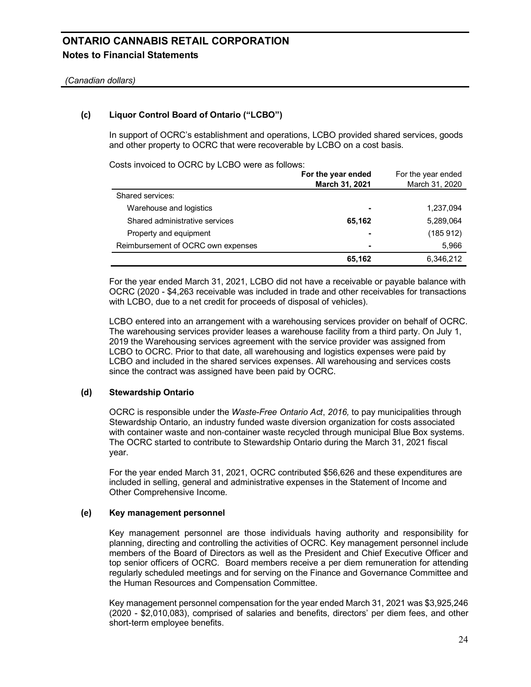### (c) Liquor Control Board of Ontario ("LCBO")

In support of OCRC's establishment and operations, LCBO provided shared services, goods and other property to OCRC that were recoverable by LCBO on a cost basis.

Costs invoiced to OCRC by LCBO were as follows:

|                                    | For the year ended<br>March 31, 2021 | For the year ended<br>March 31, 2020 |
|------------------------------------|--------------------------------------|--------------------------------------|
| Shared services:                   |                                      |                                      |
| Warehouse and logistics            |                                      | 1,237,094                            |
| Shared administrative services     | 65,162                               | 5,289,064                            |
| Property and equipment             | ٠                                    | (185912)                             |
| Reimbursement of OCRC own expenses |                                      | 5.966                                |
|                                    | 65,162                               | 6,346,212                            |

For the year ended March 31, 2021, LCBO did not have a receivable or payable balance with OCRC (2020 - \$4,263 receivable was included in trade and other receivables for transactions with LCBO, due to a net credit for proceeds of disposal of vehicles).

 LCBO entered into an arrangement with a warehousing services provider on behalf of OCRC. The warehousing services provider leases a warehouse facility from a third party. On July 1, 2019 the Warehousing services agreement with the service provider was assigned from LCBO to OCRC. Prior to that date, all warehousing and logistics expenses were paid by LCBO and included in the shared services expenses. All warehousing and services costs since the contract was assigned have been paid by OCRC.

### (d) Stewardship Ontario

OCRC is responsible under the Waste-Free Ontario Act, 2016, to pay municipalities through Stewardship Ontario, an industry funded waste diversion organization for costs associated with container waste and non-container waste recycled through municipal Blue Box systems. The OCRC started to contribute to Stewardship Ontario during the March 31, 2021 fiscal year.

For the year ended March 31, 2021, OCRC contributed \$56,626 and these expenditures are included in selling, general and administrative expenses in the Statement of Income and Other Comprehensive Income.

### (e) Key management personnel

Key management personnel are those individuals having authority and responsibility for planning, directing and controlling the activities of OCRC. Key management personnel include members of the Board of Directors as well as the President and Chief Executive Officer and top senior officers of OCRC. Board members receive a per diem remuneration for attending regularly scheduled meetings and for serving on the Finance and Governance Committee and the Human Resources and Compensation Committee.

Key management personnel compensation for the year ended March 31, 2021 was \$3,925,246 (2020 - \$2,010,083), comprised of salaries and benefits, directors' per diem fees, and other short-term employee benefits.